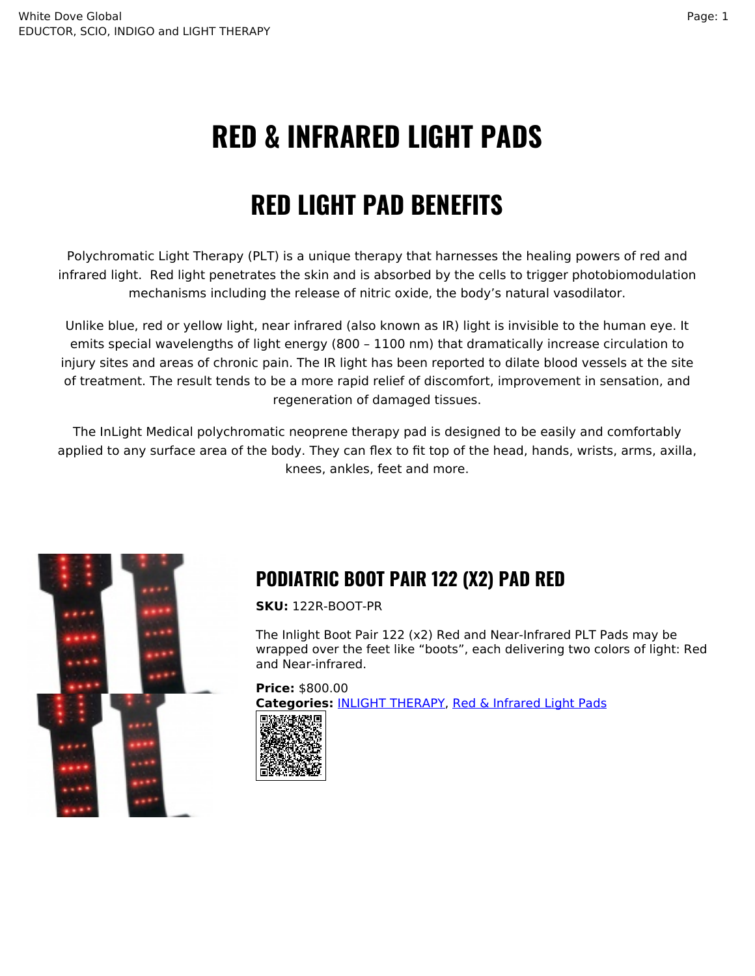# **RED & INFRARED LIGHT PADS**

## **RED LIGHT PAD BENEFITS**

Polychromatic Light Therapy (PLT) is a unique therapy that harnesses the healing powers of red and infrared light. Red light penetrates the skin and is absorbed by the cells to trigger photobiomodulation mechanisms including the release of nitric oxide, the body's natural vasodilator.

Unlike blue, red or yellow light, near infrared (also known as IR) light is invisible to the human eye. It emits special wavelengths of light energy (800 – 1100 nm) that dramatically increase circulation to injury sites and areas of chronic pain. The IR light has been reported to dilate blood vessels at the site of treatment. The result tends to be a more rapid relief of discomfort, improvement in sensation, and regeneration of damaged tissues.

The InLight Medical polychromatic neoprene therapy pad is designed to be easily and comfortably applied to any surface area of the body. They can flex to fit top of the head, hands, wrists, arms, axilla, knees, ankles, feet and more.



## **PODIATRIC BOOT PAIR 122 (X2) PAD RED**

**SKU:** 122R-BOOT-PR

The Inlight Boot Pair 122 (x2) Red and Near-Infrared PLT Pads may be wrapped over the feet like "boots", each delivering two colors of light: Red and Near-infrared.

**Price:** \$800.00 **Categories:** [INLIGHT THERAPY](https://whitedoveglobal.com/shop-category/inlight-therapy/), [Red & Infrared Light Pads](https://whitedoveglobal.com/shop-category/inlight-therapy/red-infrared-pads/)

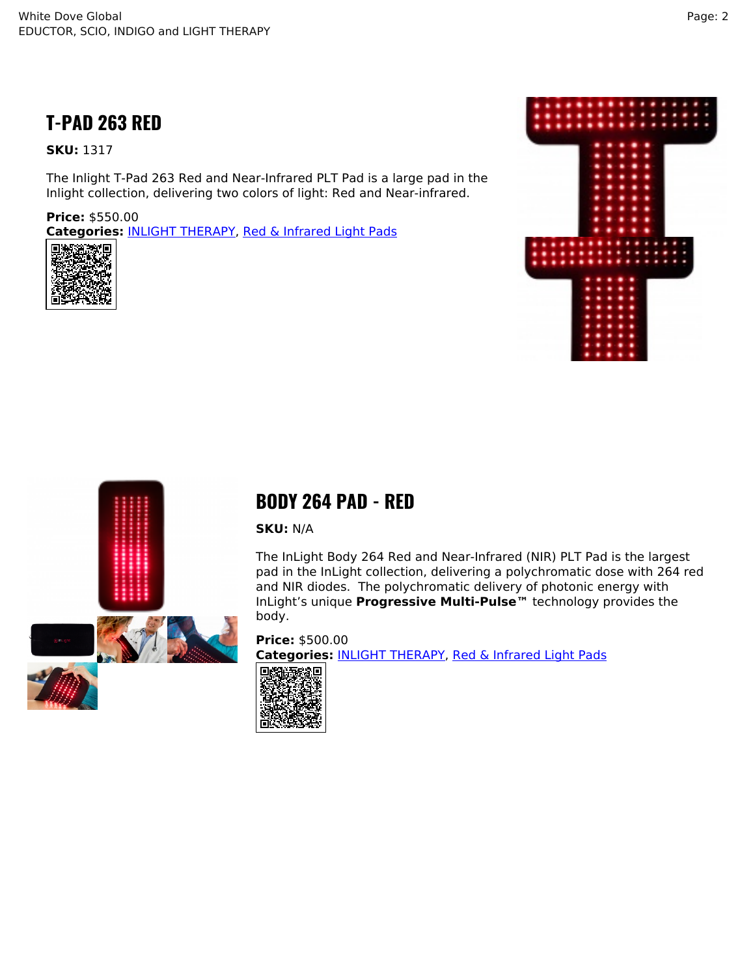#### **T-PAD 263 RED**

#### **SKU:** 1317

The Inlight T-Pad 263 Red and Near-Infrared PLT Pad is a large pad in the Inlight collection, delivering two colors of light: Red and Near-infrared.

**Price:** \$550.00 **Categories:** [INLIGHT THERAPY,](https://whitedoveglobal.com/shop-category/inlight-therapy/) [Red & Infrared Light Pads](https://whitedoveglobal.com/shop-category/inlight-therapy/red-infrared-pads/)







#### **BODY 264 PAD - RED**

**SKU:** N/A

The InLight Body 264 Red and Near-Infrared (NIR) PLT Pad is the largest pad in the InLight collection, delivering a polychromatic dose with 264 red and NIR diodes. The polychromatic delivery of photonic energy with InLight's unique **Progressive Multi-Pulse™** technology provides the body.

**Price:** \$500.00 **Categories:** [INLIGHT THERAPY](https://whitedoveglobal.com/shop-category/inlight-therapy/), [Red & Infrared Light Pads](https://whitedoveglobal.com/shop-category/inlight-therapy/red-infrared-pads/)

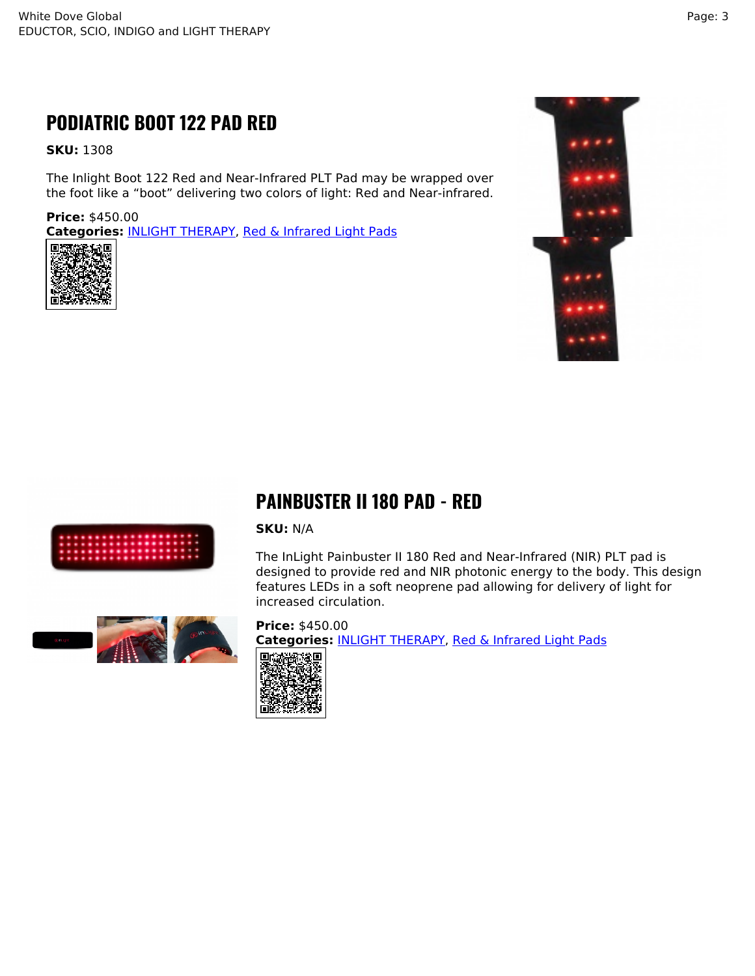### **PODIATRIC BOOT 122 PAD RED**

**SKU:** 1308

The Inlight Boot 122 Red and Near-Infrared PLT Pad may be wrapped over the foot like a "boot" delivering two colors of light: Red and Near-infrared.

**Price:** \$450.00 **Categories:** [INLIGHT THERAPY,](https://whitedoveglobal.com/shop-category/inlight-therapy/) [Red & Infrared Light Pads](https://whitedoveglobal.com/shop-category/inlight-therapy/red-infrared-pads/)







#### **PAINBUSTER II 180 PAD - RED**

#### **SKU:** N/A

The InLight Painbuster II 180 Red and Near-Infrared (NIR) PLT pad is designed to provide red and NIR photonic energy to the body. This design features LEDs in a soft neoprene pad allowing for delivery of light for increased circulation.



**Price:** \$450.00 **Categories:** [INLIGHT THERAPY](https://whitedoveglobal.com/shop-category/inlight-therapy/), [Red & Infrared Light Pads](https://whitedoveglobal.com/shop-category/inlight-therapy/red-infrared-pads/)